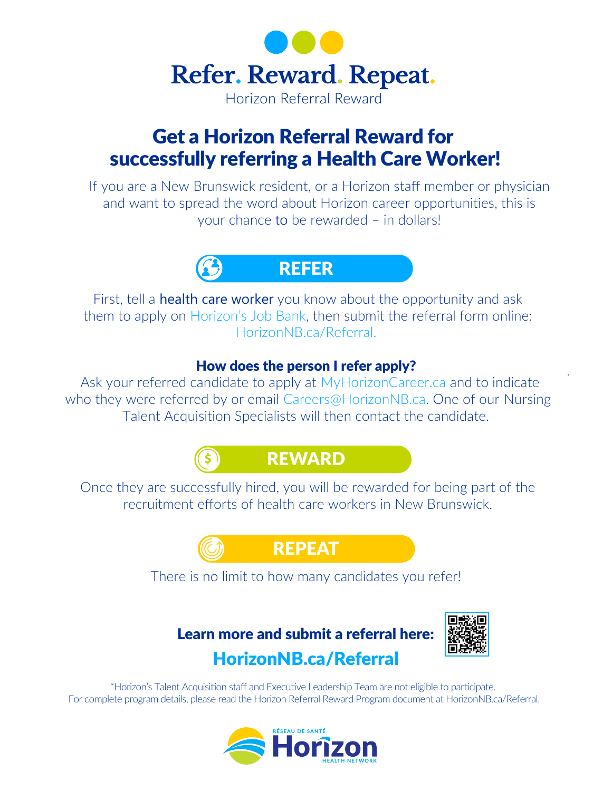

# Get a Horizon Referral Reward for successfully referring a Health Care Worker!

If you are a New Brunswick resident, or a Horizon staff member or physician and want to spread the word about Horizon career opportunities, this is your chance to be rewarded – in dollars!



First, tell a **health care worker** you know about the opportunity and ask them to apply on [Horizon's Job Bank](https://horizonnb.itacit.com/itacit-career-ui/postings?CLIENT=73224542677&SID=3&LANGUAGE=en), then submit the referral form online: HorizonNB.ca/Referral.

## How does the person I refer apply?

 Ask your referred candidate to apply at MyHorizonCareer.ca and to indicate who they were referred by or email Careers@HorizonNB.ca. One of our Nursing Talent Acquisition Specialists will then contact the candidate.



Once they are successfully hired, you will be rewarded for being part of the recruitment efforts of health care workers in New Brunswick.

REPEAT

There is no limit to how many candidates you refer!

Learn more and submit a referral here: HorizonNB.ca/Referral



.

\*Horizon's Talent Acquisition staff and Executive Leadership Team are not eligible to participate. For complete program details, please read the Horizon Referral Reward Program document at HorizonNB.ca/Referral.